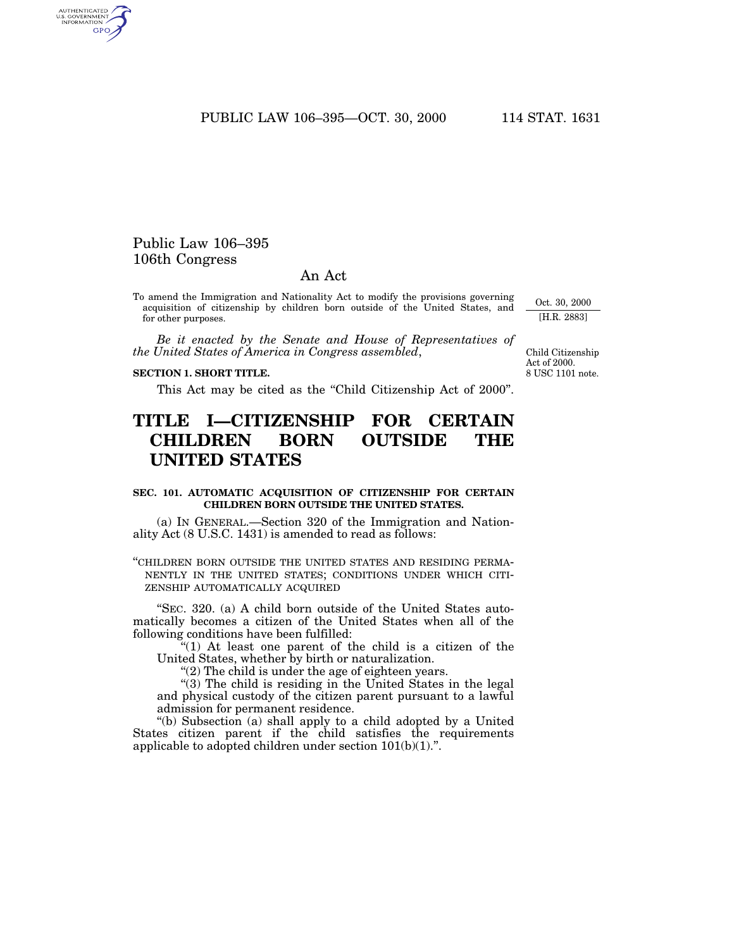PUBLIC LAW 106–395—OCT. 30, 2000 114 STAT. 1631

# Public Law 106–395 106th Congress

AUTHENTICATED<br>U.S. GOVERNMENT<br>INFORMATION GPO

# An Act

To amend the Immigration and Nationality Act to modify the provisions governing acquisition of citizenship by children born outside of the United States, and for other purposes.

*Be it enacted by the Senate and House of Representatives of the United States of America in Congress assembled*,

## **SECTION 1. SHORT TITLE.**

This Act may be cited as the "Child Citizenship Act of 2000".

# **TITLE I—CITIZENSHIP FOR CERTAIN CHILDREN BORN OUTSIDE THE UNITED STATES**

## **SEC. 101. AUTOMATIC ACQUISITION OF CITIZENSHIP FOR CERTAIN CHILDREN BORN OUTSIDE THE UNITED STATES.**

(a) IN GENERAL.—Section 320 of the Immigration and Nationality Act (8 U.S.C. 1431) is amended to read as follows:

''CHILDREN BORN OUTSIDE THE UNITED STATES AND RESIDING PERMA-NENTLY IN THE UNITED STATES; CONDITIONS UNDER WHICH CITI-ZENSHIP AUTOMATICALLY ACQUIRED

''SEC. 320. (a) A child born outside of the United States automatically becomes a citizen of the United States when all of the following conditions have been fulfilled:

 $(1)$  At least one parent of the child is a citizen of the United States, whether by birth or naturalization.

"(2) The child is under the age of eighteen years.

" $(3)$  The child is residing in the United States in the legal and physical custody of the citizen parent pursuant to a lawful admission for permanent residence.

''(b) Subsection (a) shall apply to a child adopted by a United States citizen parent if the child satisfies the requirements applicable to adopted children under section  $101(b)(1)$ .".

Oct. 30, 2000 [H.R. 2883]

8 USC 1101 note. Child Citizenship Act of 2000.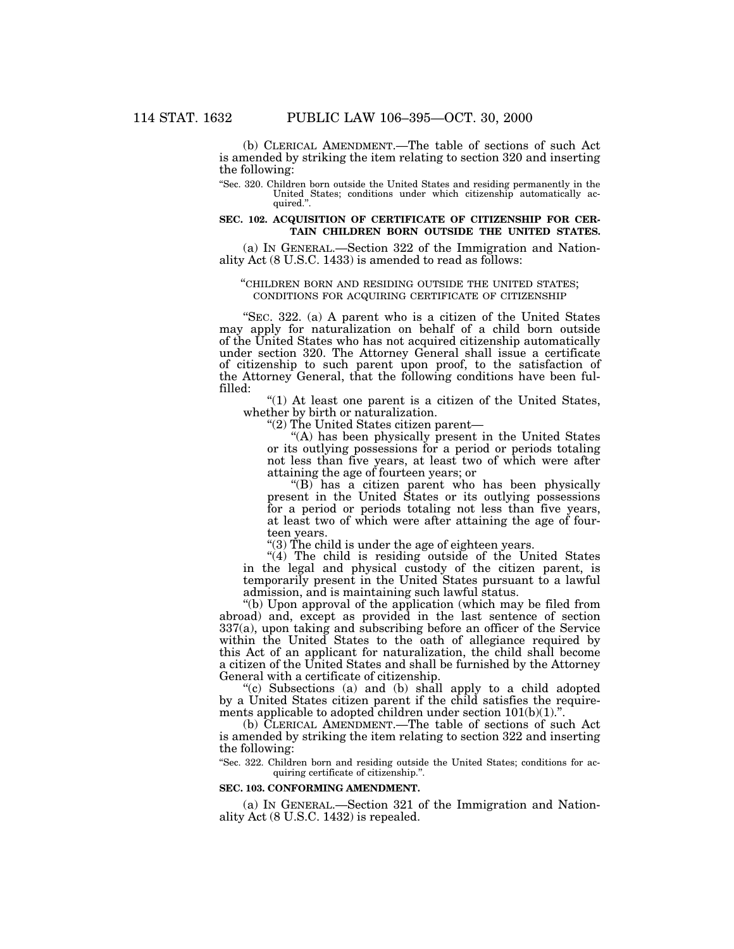(b) CLERICAL AMENDMENT.—The table of sections of such Act is amended by striking the item relating to section 320 and inserting the following:

''Sec. 320. Children born outside the United States and residing permanently in the United States; conditions under which citizenship automatically acquired.''.

### **SEC. 102. ACQUISITION OF CERTIFICATE OF CITIZENSHIP FOR CER-TAIN CHILDREN BORN OUTSIDE THE UNITED STATES.**

(a) IN GENERAL.—Section 322 of the Immigration and Nationality Act (8 U.S.C. 1433) is amended to read as follows:

#### ''CHILDREN BORN AND RESIDING OUTSIDE THE UNITED STATES; CONDITIONS FOR ACQUIRING CERTIFICATE OF CITIZENSHIP

"SEC. 322. (a) A parent who is a citizen of the United States may apply for naturalization on behalf of a child born outside of the United States who has not acquired citizenship automatically under section 320. The Attorney General shall issue a certificate of citizenship to such parent upon proof, to the satisfaction of the Attorney General, that the following conditions have been fulfilled:

" $(1)$  At least one parent is a citizen of the United States, whether by birth or naturalization.

''(2) The United States citizen parent—

"(A) has been physically present in the United States or its outlying possessions for a period or periods totaling not less than five years, at least two of which were after attaining the age of fourteen years; or

''(B) has a citizen parent who has been physically present in the United States or its outlying possessions for a period or periods totaling not less than five years, at least two of which were after attaining the age of fourteen years.

''(3) The child is under the age of eighteen years.

"(4) The child is residing outside of the United States in the legal and physical custody of the citizen parent, is temporarily present in the United States pursuant to a lawful admission, and is maintaining such lawful status.

"(b) Upon approval of the application (which may be filed from abroad) and, except as provided in the last sentence of section 337(a), upon taking and subscribing before an officer of the Service within the United States to the oath of allegiance required by this Act of an applicant for naturalization, the child shall become a citizen of the United States and shall be furnished by the Attorney General with a certificate of citizenship.

''(c) Subsections (a) and (b) shall apply to a child adopted by a United States citizen parent if the child satisfies the requirements applicable to adopted children under section 101(b)(1).''.

(b) CLERICAL AMENDMENT.—The table of sections of such Act is amended by striking the item relating to section 322 and inserting the following:

''Sec. 322. Children born and residing outside the United States; conditions for acquiring certificate of citizenship.''.

### **SEC. 103. CONFORMING AMENDMENT.**

(a) IN GENERAL.—Section 321 of the Immigration and Nationality Act (8 U.S.C. 1432) is repealed.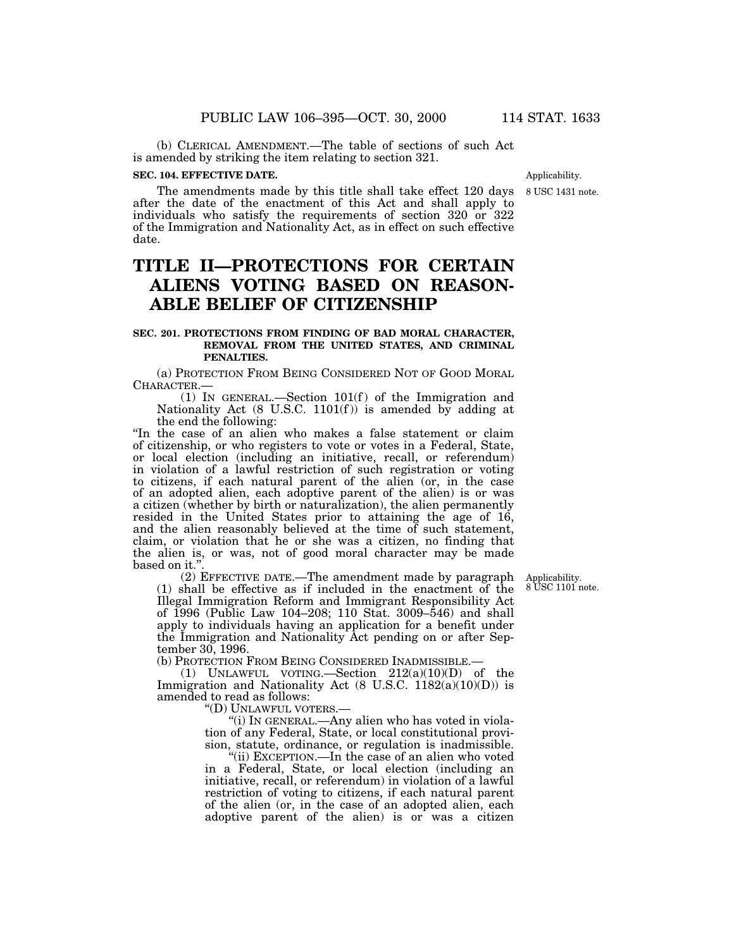(b) CLERICAL AMENDMENT.—The table of sections of such Act is amended by striking the item relating to section 321.

# **SEC. 104. EFFECTIVE DATE.**

The amendments made by this title shall take effect 120 days after the date of the enactment of this Act and shall apply to individuals who satisfy the requirements of section 320 or 322 of the Immigration and Nationality Act, as in effect on such effective date.

# **TITLE II—PROTECTIONS FOR CERTAIN ALIENS VOTING BASED ON REASON-ABLE BELIEF OF CITIZENSHIP**

## **SEC. 201. PROTECTIONS FROM FINDING OF BAD MORAL CHARACTER, REMOVAL FROM THE UNITED STATES, AND CRIMINAL PENALTIES.**

(a) PROTECTION FROM BEING CONSIDERED NOT OF GOOD MORAL CHARACTER.—

(1) IN GENERAL.—Section  $101(f)$  of the Immigration and Nationality Act (8 U.S.C. 1101(f )) is amended by adding at the end the following:

''In the case of an alien who makes a false statement or claim of citizenship, or who registers to vote or votes in a Federal, State, or local election (including an initiative, recall, or referendum) in violation of a lawful restriction of such registration or voting to citizens, if each natural parent of the alien (or, in the case of an adopted alien, each adoptive parent of the alien) is or was a citizen (whether by birth or naturalization), the alien permanently resided in the United States prior to attaining the age of 16, and the alien reasonably believed at the time of such statement, claim, or violation that he or she was a citizen, no finding that the alien is, or was, not of good moral character may be made based on it."

(2) EFFECTIVE DATE.—The amendment made by paragraph (1) shall be effective as if included in the enactment of the Illegal Immigration Reform and Immigrant Responsibility Act of 1996 (Public Law 104–208; 110 Stat. 3009–546) and shall apply to individuals having an application for a benefit under the Immigration and Nationality Act pending on or after September 30, 1996.

(b) PROTECTION FROM BEING CONSIDERED INADMISSIBLE.—

(1) UNLAWFUL VOTING.—Section 212(a)(10)(D) of the Immigration and Nationality Act  $(8 \text{ U.S.C. } 1182(a)(10)(D))$  is amended to read as follows:

''(D) UNLAWFUL VOTERS.—

''(i) IN GENERAL.—Any alien who has voted in violation of any Federal, State, or local constitutional provision, statute, ordinance, or regulation is inadmissible.

''(ii) EXCEPTION.—In the case of an alien who voted in a Federal, State, or local election (including an initiative, recall, or referendum) in violation of a lawful restriction of voting to citizens, if each natural parent of the alien (or, in the case of an adopted alien, each adoptive parent of the alien) is or was a citizen

Applicability. 8 USC 1101 note.

8 USC 1431 note. Applicability.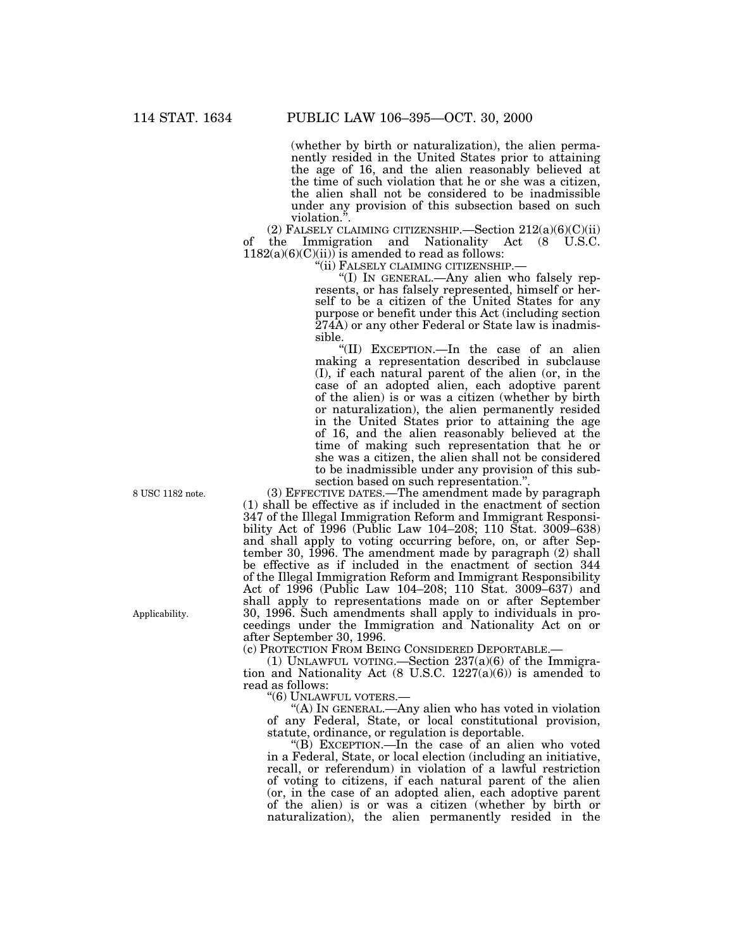(whether by birth or naturalization), the alien permanently resided in the United States prior to attaining the age of 16, and the alien reasonably believed at the time of such violation that he or she was a citizen, the alien shall not be considered to be inadmissible under any provision of this subsection based on such violation.''.

(2) FALSELY CLAIMING CITIZENSHIP. Section  $212(a)(6)(C(ii))$ of the Immigration and Nationality Act (8 U.S.C.  $1182(a)(6)(C)(ii)$  is amended to read as follows:

''(ii) FALSELY CLAIMING CITIZENSHIP.—

''(I) IN GENERAL.—Any alien who falsely represents, or has falsely represented, himself or herself to be a citizen of the United States for any purpose or benefit under this Act (including section 274A) or any other Federal or State law is inadmissible.

''(II) EXCEPTION.—In the case of an alien making a representation described in subclause (I), if each natural parent of the alien (or, in the case of an adopted alien, each adoptive parent of the alien) is or was a citizen (whether by birth or naturalization), the alien permanently resided in the United States prior to attaining the age of 16, and the alien reasonably believed at the time of making such representation that he or she was a citizen, the alien shall not be considered to be inadmissible under any provision of this subsection based on such representation.''.

8 USC 1182 note.

Applicability.

(3) EFFECTIVE DATES.—The amendment made by paragraph (1) shall be effective as if included in the enactment of section 347 of the Illegal Immigration Reform and Immigrant Responsibility Act of 1996 (Public Law 104–208; 110 Stat. 3009–638) and shall apply to voting occurring before, on, or after September 30, 1996. The amendment made by paragraph (2) shall be effective as if included in the enactment of section 344 of the Illegal Immigration Reform and Immigrant Responsibility Act of 1996 (Public Law 104–208; 110 Stat. 3009–637) and shall apply to representations made on or after September 30, 1996. Such amendments shall apply to individuals in proceedings under the Immigration and Nationality Act on or after September 30, 1996.

(c) PROTECTION FROM BEING CONSIDERED DEPORTABLE.—

(1) UNLAWFUL VOTING.—Section  $237(a)(6)$  of the Immigration and Nationality Act  $(8 \text{ U.S.C. } 1227(a)(6))$  is amended to read as follows:

''(6) UNLAWFUL VOTERS.—

''(A) IN GENERAL.—Any alien who has voted in violation of any Federal, State, or local constitutional provision, statute, ordinance, or regulation is deportable.

" $(B)$  EXCEPTION.—In the case of an alien who voted in a Federal, State, or local election (including an initiative, recall, or referendum) in violation of a lawful restriction of voting to citizens, if each natural parent of the alien (or, in the case of an adopted alien, each adoptive parent of the alien) is or was a citizen (whether by birth or naturalization), the alien permanently resided in the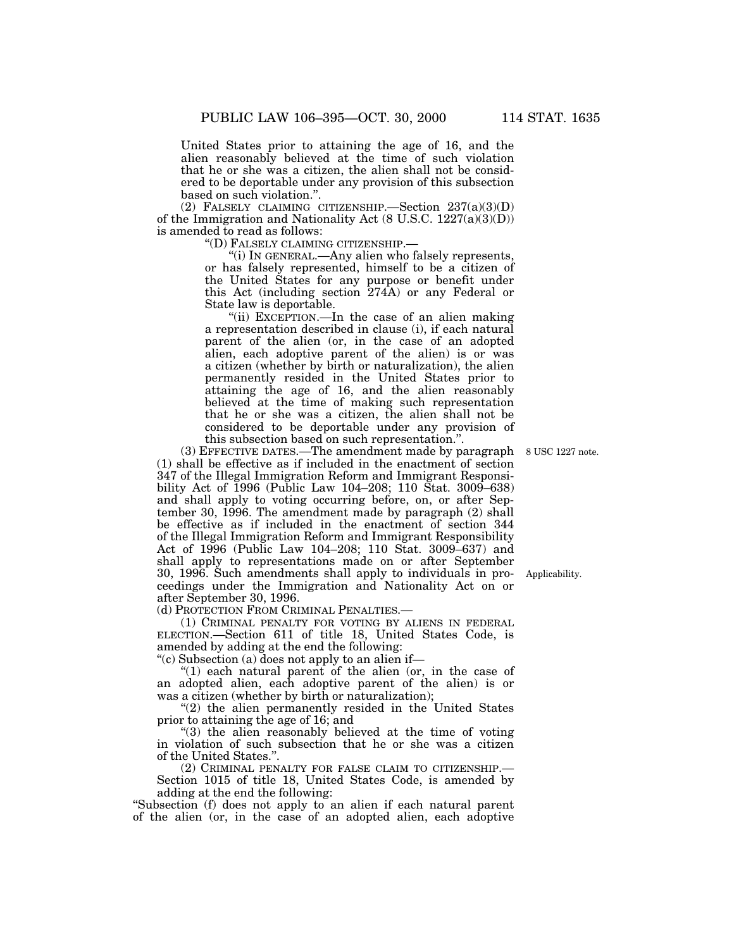United States prior to attaining the age of 16, and the alien reasonably believed at the time of such violation that he or she was a citizen, the alien shall not be considered to be deportable under any provision of this subsection based on such violation.''.

(2) FALSELY CLAIMING CITIZENSHIP.—Section  $237(a)(3)(D)$ of the Immigration and Nationality Act (8 U.S.C. 1227(a)(3)(D)) is amended to read as follows:

''(D) FALSELY CLAIMING CITIZENSHIP.—

''(i) IN GENERAL.—Any alien who falsely represents, or has falsely represented, himself to be a citizen of the United States for any purpose or benefit under this Act (including section 274A) or any Federal or State law is deportable.

"(ii) EXCEPTION.—In the case of an alien making a representation described in clause (i), if each natural parent of the alien (or, in the case of an adopted alien, each adoptive parent of the alien) is or was a citizen (whether by birth or naturalization), the alien permanently resided in the United States prior to attaining the age of 16, and the alien reasonably believed at the time of making such representation that he or she was a citizen, the alien shall not be considered to be deportable under any provision of this subsection based on such representation.''.

(3) EFFECTIVE DATES.—The amendment made by paragraph 8 USC 1227 note. (1) shall be effective as if included in the enactment of section 347 of the Illegal Immigration Reform and Immigrant Responsibility Act of 1996 (Public Law 104–208; 110 Stat. 3009–638) and shall apply to voting occurring before, on, or after September 30, 1996. The amendment made by paragraph (2) shall be effective as if included in the enactment of section 344 of the Illegal Immigration Reform and Immigrant Responsibility Act of 1996 (Public Law 104–208; 110 Stat. 3009–637) and shall apply to representations made on or after September 30, 1996. Such amendments shall apply to individuals in proceedings under the Immigration and Nationality Act on or after September 30, 1996.

(d) PROTECTION FROM CRIMINAL PENALTIES.—

(1) CRIMINAL PENALTY FOR VOTING BY ALIENS IN FEDERAL ELECTION.—Section 611 of title 18, United States Code, is amended by adding at the end the following:

''(c) Subsection (a) does not apply to an alien if—

"(1) each natural parent of the alien (or, in the case of an adopted alien, each adoptive parent of the alien) is or was a citizen (whether by birth or naturalization);

"(2) the alien permanently resided in the United States prior to attaining the age of 16; and

"(3) the alien reasonably believed at the time of voting in violation of such subsection that he or she was a citizen of the United States.''.

(2) CRIMINAL PENALTY FOR FALSE CLAIM TO CITIZENSHIP.—

Section 1015 of title 18, United States Code, is amended by adding at the end the following:

''Subsection (f) does not apply to an alien if each natural parent of the alien (or, in the case of an adopted alien, each adoptive

Applicability.